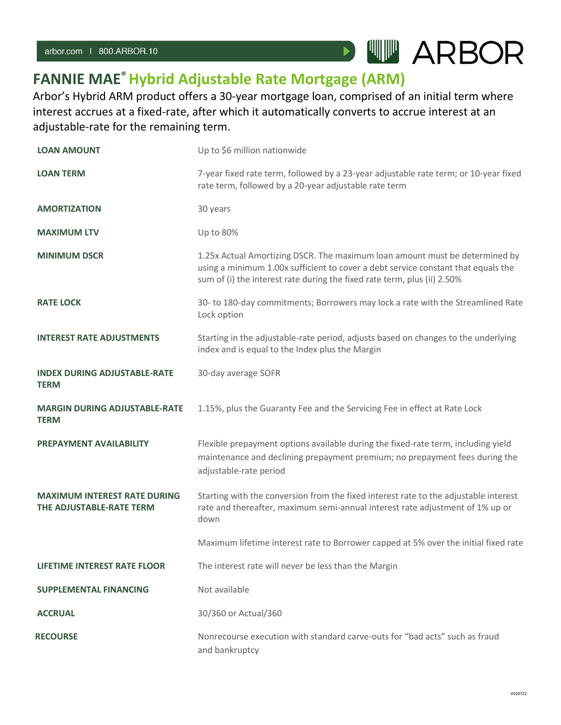## **FANNIE MAE®Hybrid Adjustable Rate Mortgage (ARM)**

Arbor's Hybrid ARM product offers a 30-year mortgage loan, comprised of an initial term where interest accrues at a fixed-rate, after which it automatically converts to accrue interest at an adjustable-rate for the remaining term.

 $\blacktriangleright$ 

**WW ARBOR** 

| <b>LOAN AMOUNT</b>                                              | Up to \$6 million nationwide                                                                                                                                                                                                                 |
|-----------------------------------------------------------------|----------------------------------------------------------------------------------------------------------------------------------------------------------------------------------------------------------------------------------------------|
| <b>LOAN TERM</b>                                                | 7-year fixed rate term, followed by a 23-year adjustable rate term; or 10-year fixed<br>rate term, followed by a 20-year adjustable rate term                                                                                                |
| <b>AMORTIZATION</b>                                             | 30 years                                                                                                                                                                                                                                     |
| <b>MAXIMUM LTV</b>                                              | Up to 80%                                                                                                                                                                                                                                    |
| <b>MINIMUM DSCR</b>                                             | 1.25x Actual Amortizing DSCR. The maximum loan amount must be determined by<br>using a minimum 1.00x sufficient to cover a debt service constant that equals the<br>sum of (i) the interest rate during the fixed rate term, plus (ii) 2.50% |
| <b>RATE LOCK</b>                                                | 30- to 180-day commitments; Borrowers may lock a rate with the Streamlined Rate<br>Lock option                                                                                                                                               |
| <b>INTEREST RATE ADJUSTMENTS</b>                                | Starting in the adjustable-rate period, adjusts based on changes to the underlying<br>index and is equal to the Index plus the Margin                                                                                                        |
| <b>INDEX DURING ADJUSTABLE-RATE</b><br><b>TERM</b>              | 30-day average SOFR                                                                                                                                                                                                                          |
| <b>MARGIN DURING ADJUSTABLE-RATE</b><br><b>TERM</b>             | 1.15%, plus the Guaranty Fee and the Servicing Fee in effect at Rate Lock                                                                                                                                                                    |
| PREPAYMENT AVAILABILITY                                         | Flexible prepayment options available during the fixed-rate term, including yield<br>maintenance and declining prepayment premium; no prepayment fees during the<br>adjustable-rate period                                                   |
| <b>MAXIMUM INTEREST RATE DURING</b><br>THE ADJUSTABLE-RATE TERM | Starting with the conversion from the fixed interest rate to the adjustable interest<br>rate and thereafter, maximum semi-annual interest rate adjustment of 1% up or<br>down                                                                |
|                                                                 | Maximum lifetime interest rate to Borrower capped at 5% over the initial fixed rate                                                                                                                                                          |
| <b>LIFETIME INTEREST RATE FLOOR</b>                             | The interest rate will never be less than the Margin                                                                                                                                                                                         |
| <b>SUPPLEMENTAL FINANCING</b>                                   | Not available                                                                                                                                                                                                                                |
| <b>ACCRUAL</b>                                                  | 30/360 or Actual/360                                                                                                                                                                                                                         |
| <b>RECOURSE</b>                                                 | Nonrecourse execution with standard carve-outs for "bad acts" such as fraud<br>and bankruptcy                                                                                                                                                |